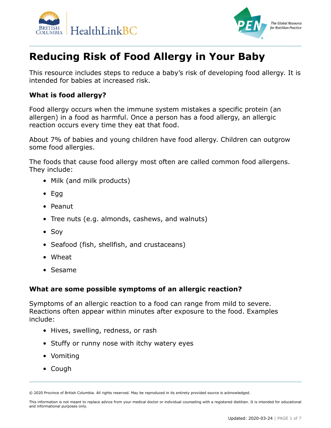



## **Reducing Risk of Food Allergy in Your Baby**

This resource includes steps to reduce a baby's risk of developing food allergy. It is intended for babies at increased risk.

#### **What is food allergy?**

Food allergy occurs when the immune system mistakes a specific protein (an allergen) in a food as harmful. Once a person has a food allergy, an allergic reaction occurs every time they eat that food.

About 7% of babies and young children have food allergy. Children can outgrow some food allergies.

The foods that cause food allergy most often are called common food allergens. They include:

- Milk (and milk products)
- Egg
- Peanut
- Tree nuts (e.g. almonds, cashews, and walnuts)
- Soy
- Seafood (fish, shellfish, and crustaceans)
- Wheat
- Sesame

#### **What are some possible symptoms of an allergic reaction?**

Symptoms of an allergic reaction to a food can range from mild to severe. Reactions often appear within minutes after exposure to the food. Examples include:

- Hives, swelling, redness, or rash
- Stuffy or runny nose with itchy watery eyes
- Vomiting
- Cough

<sup>© 2020</sup> Province of British Columbia. All rights reserved. May be reproduced in its entirety provided source is acknowledged.

This information is not meant to replace advice from your medical doctor or individual counseling with a registered dietitian. It is intended for educational and informational purposes only.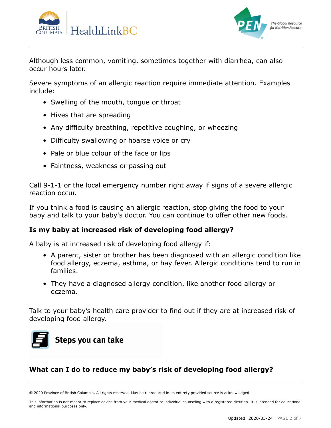



Although less common, vomiting, sometimes together with diarrhea, can also occur hours later.

Severe symptoms of an allergic reaction require immediate attention. Examples include:

- Swelling of the mouth, tongue or throat
- Hives that are spreading
- Any difficulty breathing, repetitive coughing, or wheezing
- Difficulty swallowing or hoarse voice or cry
- Pale or blue colour of the face or lips
- Faintness, weakness or passing out

Call 9-1-1 or the local emergency number right away if signs of a severe allergic reaction occur.

If you think a food is causing an allergic reaction, stop giving the food to your baby and talk to your baby's doctor. You can continue to offer other new foods.

#### **Is my baby at increased risk of developing food allergy?**

A baby is at increased risk of developing food allergy if:

- A parent, sister or brother has been diagnosed with an allergic condition like food allergy, eczema, asthma, or hay fever. Allergic conditions tend to run in families.
- They have a diagnosed allergy condition, like another food allergy or eczema.

Talk to your baby's health care provider to find out if they are at increased risk of developing food allergy.



### **What can I do to reduce my baby's risk of developing food allergy?**

© 2020 Province of British Columbia. All rights reserved. May be reproduced in its entirety provided source is acknowledged.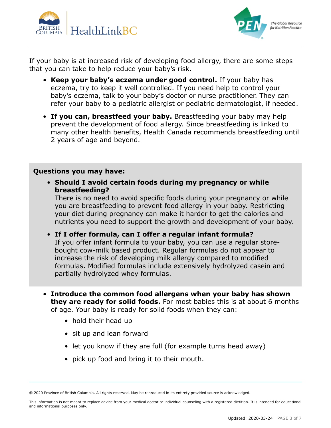



If your baby is at increased risk of developing food allergy, there are some steps that you can take to help reduce your baby's risk.

- **Keep your baby's eczema under good control.** If your baby has eczema, try to keep it well controlled. If you need help to control your baby's eczema, talk to your baby's doctor or nurse practitioner. They can refer your baby to a pediatric allergist or pediatric dermatologist, if needed.
- **If you can, breastfeed your baby.** Breastfeeding your baby may help prevent the development of food allergy. Since breastfeeding is linked to many other health benefits, Health Canada recommends breastfeeding until 2 years of age and beyond.

#### **Questions you may have:**

• **Should I avoid certain foods during my pregnancy or while breastfeeding?**

There is no need to avoid specific foods during your pregnancy or while you are breastfeeding to prevent food allergy in your baby. Restricting your diet during pregnancy can make it harder to get the calories and nutrients you need to support the growth and development of your baby.

• **If I offer formula, can I offer a regular infant formula?** If you offer infant formula to your baby, you can use a regular storebought cow-milk based product. Regular formulas do not appear to increase the risk of developing milk allergy compared to modified formulas. Modified formulas include extensively hydrolyzed casein and partially hydrolyzed whey formulas.

- **Introduce the common food allergens when your baby has shown they are ready for solid foods.** For most babies this is at about 6 months of age. Your baby is ready for solid foods when they can:
	- hold their head up
	- sit up and lean forward
	- let you know if they are full (for example turns head away)
	- pick up food and bring it to their mouth.

<sup>© 2020</sup> Province of British Columbia. All rights reserved. May be reproduced in its entirety provided source is acknowledged.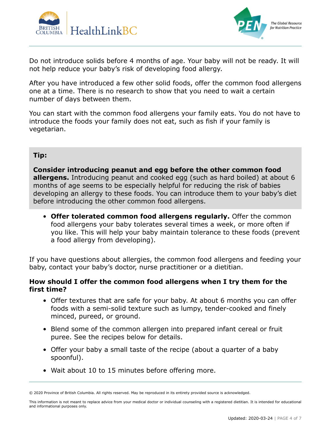



Do not introduce solids before 4 months of age. Your baby will not be ready. It will not help reduce your baby's risk of developing food allergy.

After you have introduced a few other solid foods, offer the common food allergens one at a time. There is no research to show that you need to wait a certain number of days between them.

You can start with the common food allergens your family eats. You do not have to introduce the foods your family does not eat, such as fish if your family is vegetarian.

#### **Tip:**

**Consider introducing peanut and egg before the other common food allergens.** Introducing peanut and cooked egg (such as hard boiled) at about 6 months of age seems to be especially helpful for reducing the risk of babies developing an allergy to these foods. You can introduce them to your baby's diet before introducing the other common food allergens.

• **Offer tolerated common food allergens regularly.** Offer the common food allergens your baby tolerates several times a week, or more often if you like. This will help your baby maintain tolerance to these foods (prevent a food allergy from developing).

If you have questions about allergies, the common food allergens and feeding your baby, contact your baby's doctor, nurse practitioner or a dietitian.

#### **How should I offer the common food allergens when I try them for the first time?**

- Offer textures that are safe for your baby. At about 6 months you can offer foods with a semi-solid texture such as lumpy, tender-cooked and finely minced, pureed, or ground.
- Blend some of the common allergen into prepared infant cereal or fruit puree. See the recipes below for details.
- Offer your baby a small taste of the recipe (about a quarter of a baby spoonful).
- Wait about 10 to 15 minutes before offering more.

<sup>© 2020</sup> Province of British Columbia. All rights reserved. May be reproduced in its entirety provided source is acknowledged.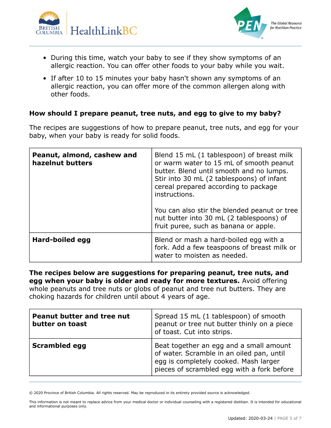



- During this time, watch your baby to see if they show symptoms of an allergic reaction. You can offer other foods to your baby while you wait.
- If after 10 to 15 minutes your baby hasn't shown any symptoms of an allergic reaction, you can offer more of the common allergen along with other foods.

#### **How should I prepare peanut, tree nuts, and egg to give to my baby?**

The recipes are suggestions of how to prepare peanut, tree nuts, and egg for your baby, when your baby is ready for solid foods.

| Peanut, almond, cashew and<br>hazelnut butters | Blend 15 mL (1 tablespoon) of breast milk<br>or warm water to 15 mL of smooth peanut<br>butter. Blend until smooth and no lumps.<br>Stir into 30 mL (2 tablespoons) of infant<br>cereal prepared according to package<br>instructions.<br>You can also stir the blended peanut or tree<br>nut butter into 30 mL (2 tablespoons) of<br>fruit puree, such as banana or apple. |
|------------------------------------------------|-----------------------------------------------------------------------------------------------------------------------------------------------------------------------------------------------------------------------------------------------------------------------------------------------------------------------------------------------------------------------------|
| Hard-boiled egg                                | Blend or mash a hard-boiled egg with a<br>fork. Add a few teaspoons of breast milk or<br>water to moisten as needed.                                                                                                                                                                                                                                                        |

**The recipes below are suggestions for preparing peanut, tree nuts, and egg when your baby is older and ready for more textures.** Avoid offering whole peanuts and tree nuts or globs of peanut and tree nut butters. They are choking hazards for children until about 4 years of age.

| <b>Peanut butter and tree nut</b><br>butter on toast | Spread 15 mL (1 tablespoon) of smooth<br>peanut or tree nut butter thinly on a piece<br>of toast. Cut into strips.                                                          |
|------------------------------------------------------|-----------------------------------------------------------------------------------------------------------------------------------------------------------------------------|
| <b>Scrambled egg</b>                                 | Beat together an egg and a small amount<br>of water. Scramble in an oiled pan, until<br>egg is completely cooked. Mash larger<br>pieces of scrambled egg with a fork before |

© 2020 Province of British Columbia. All rights reserved. May be reproduced in its entirety provided source is acknowledged.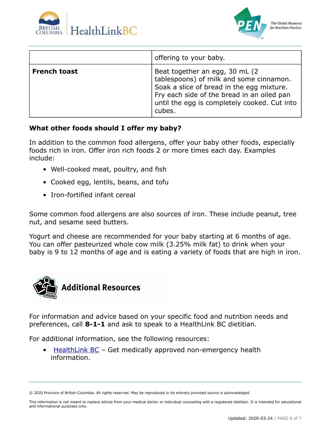



|                     | offering to your baby.                                                                                                                                                                                                          |
|---------------------|---------------------------------------------------------------------------------------------------------------------------------------------------------------------------------------------------------------------------------|
| <b>French toast</b> | Beat together an egg, 30 mL (2)<br>tablespoons) of milk and some cinnamon.<br>Soak a slice of bread in the egg mixture.<br>Fry each side of the bread in an oiled pan<br>until the egg is completely cooked. Cut into<br>cubes. |

#### **What other foods should I offer my baby?**

In addition to the common food allergens, offer your baby other foods, especially foods rich in iron. Offer iron rich foods 2 or more times each day. Examples include:

- Well-cooked meat, poultry, and fish
- Cooked egg, lentils, beans, and tofu
- Iron-fortified infant cereal

Some common food allergens are also sources of iron. These include peanut, tree nut, and sesame seed butters.

Yogurt and cheese are recommended for your baby starting at 6 months of age. You can offer pasteurized whole cow milk (3.25% milk fat) to drink when your baby is 9 to 12 months of age and is eating a variety of foods that are high in iron.



For information and advice based on your specific food and nutrition needs and preferences, call **8-1-1** and ask to speak to a HealthLink BC dietitian.

For additional information, see the following resources:

**[HealthLink BC](https://www.healthlinkbc.ca/)** – Get medically approved non-emergency health information.

<sup>© 2020</sup> Province of British Columbia. All rights reserved. May be reproduced in its entirety provided source is acknowledged.

This information is not meant to replace advice from your medical doctor or individual counseling with a registered dietitian. It is intended for educational and informational purposes only.